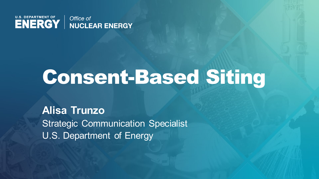

## Consent-Based Siting

**Alisa Trunzo** Strategic Communication Specialist U.S. Department of Energy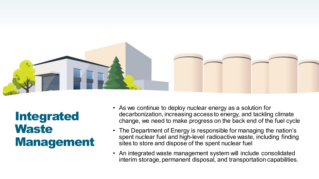

Integrated **Waste** Management

- As we continue to deploy nuclear energy as a solution for decarbonization, increasing access to energy, and tackling climate change, we need to make progress on the back end of the fuel cycle
- The Department of Energy is responsible for managing the nation's spent nuclear fuel and high-level radioactive waste, including finding sites to store and dispose of the spent nuclear fuel
- An integrated waste management system will include consolidated interim storage, permanent disposal, and transportation capabilities.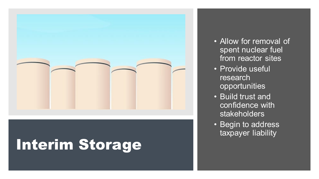

## Interim Storage

- Allow for removal of spent nuclear fuel from reactor sites
- Provide useful research opportunities
- Build trust and confidence with stakeholders
- Begin to address taxpayer liability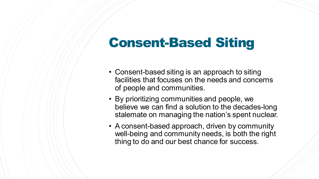## Consent-Based Siting

- Consent-based siting is an approach to siting facilities that focuses on the needs and concerns of people and communities.
- By prioritizing communities and people, we believe we can find a solution to the decades-long stalemate on managing the nation's spent nuclear.
- A consent-based approach, driven by community well-being and community needs, is both the right thing to do and our best chance for success.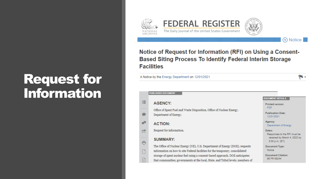# **Request for<br>Information**





#### (N) Notice

#### Notice of Request for Information (RFI) on Using a Consent-**Based Siting Process To Identify Federal Interim Storage Facilities**

| A Notice by the Energy Department on 12/01/2021 |  |  |
|-------------------------------------------------|--|--|
|-------------------------------------------------|--|--|

|   | <b>PUBLISHED DOCUMENT</b>                                                                      |                                                      |
|---|------------------------------------------------------------------------------------------------|------------------------------------------------------|
|   |                                                                                                | <b>DOCUMENT DETAILS</b>                              |
| Ξ | <b>AGENCY:</b>                                                                                 | <b>Printed version:</b>                              |
|   | Office of Spent Fuel and Waste Disposition, Office of Nuclear Energy,<br>Department of Energy. | <b>PDF</b><br><b>Publication Date:</b><br>12/01/2021 |
| R | <b>ACTION:</b>                                                                                 | Agency:<br>Department of Energy                      |
| ł | Request for information.                                                                       | Dates:<br>Responses to the RFI must be               |
|   | <b>SUMMARY:</b>                                                                                | received by March 4, 2022 by<br>5:00 p.m. (ET).      |
|   | The Office of Nuclear Energy (NE), U.S. Department of Energy (DOE), requests                   | Document Type:                                       |
|   | information on how to site Federal facilities for the temporary, consolidated                  | Notice                                               |
|   | storage of spent nuclear fuel using a consent-based approach. DOE anticipates                  | <b>Document Citation:</b><br>86 FR 68244             |
|   | that communities; governments at the local, State, and Tribal levels; members of               |                                                      |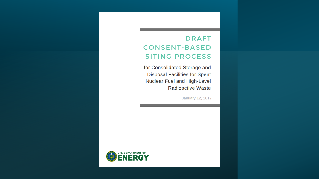### **DRAFT CONSENT-BASED SITING PROCESS**

for Consolidated Storage and **Disposal Facilities for Spent** Nuclear Fuel and High-Level Radioactive Waste

January 12, 2017

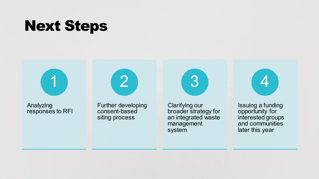## Next Steps



Analyzing responses to RFI Further developing consent-based siting process

2

3

Clarifying our broader strategy for an integrated waste management system



Issuing a funding opportunity for interested groups and communities later this year